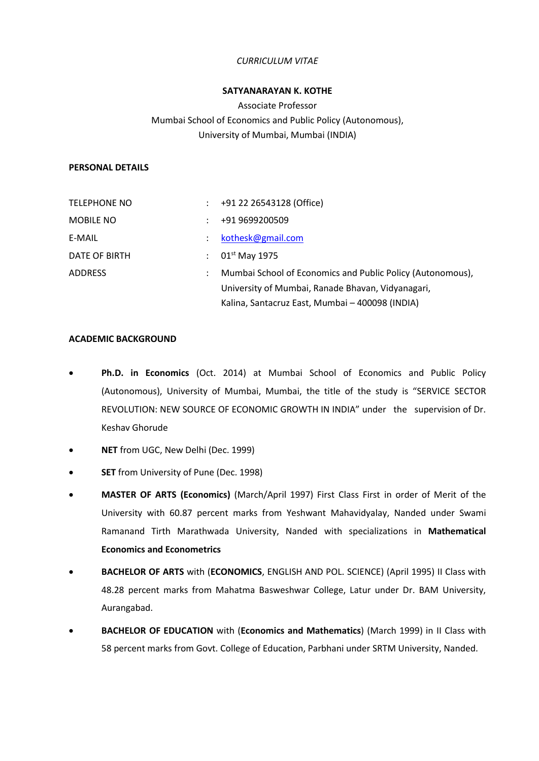# *CURRICULUM VITAE*

## **SATYANARAYAN K. KOTHE**

Associate Professor Mumbai School of Economics and Public Policy (Autonomous), University of Mumbai, Mumbai (INDIA)

### **PERSONAL DETAILS**

| <b>TELEPHONE NO</b> | $\mathcal{L}$ | +91 22 26543128 (Office)                                   |
|---------------------|---------------|------------------------------------------------------------|
| <b>MOBILE NO</b>    |               | +91 9699200509                                             |
| E-MAIL              |               | kothesk@gmail.com                                          |
| DATE OF BIRTH       |               | $01st$ May 1975                                            |
| <b>ADDRESS</b>      |               | Mumbai School of Economics and Public Policy (Autonomous), |
|                     |               | University of Mumbai, Ranade Bhavan, Vidyanagari,          |
|                     |               | Kalina, Santacruz East, Mumbai - 400098 (INDIA)            |

### **ACADEMIC BACKGROUND**

- **Ph.D. in Economics** (Oct. 2014) at Mumbai School of Economics and Public Policy (Autonomous), University of Mumbai, Mumbai, the title of the study is "SERVICE SECTOR REVOLUTION: NEW SOURCE OF ECONOMIC GROWTH IN INDIA" under the supervision of Dr. Keshav Ghorude
- **NET** from UGC, New Delhi (Dec. 1999)
- **SET** from University of Pune (Dec. 1998)
- **MASTER OF ARTS (Economics)** (March/April 1997) First Class First in order of Merit of the University with 60.87 percent marks from Yeshwant Mahavidyalay, Nanded under Swami Ramanand Tirth Marathwada University, Nanded with specializations in **Mathematical Economics and Econometrics**
- **BACHELOR OF ARTS** with (**ECONOMICS**, ENGLISH AND POL. SCIENCE) (April 1995) II Class with 48.28 percent marks from Mahatma Basweshwar College, Latur under Dr. BAM University, Aurangabad.
- **BACHELOR OF EDUCATION** with (**Economics and Mathematics**) (March 1999) in II Class with 58 percent marks from Govt. College of Education, Parbhani under SRTM University, Nanded.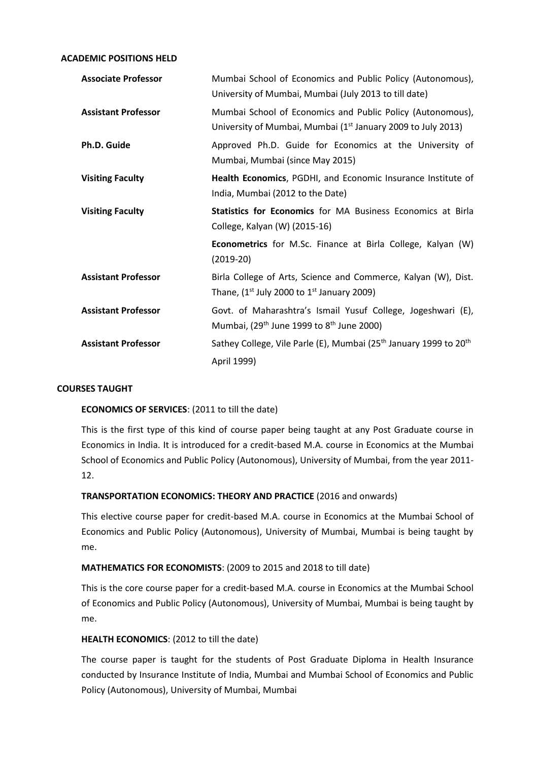**ACADEMIC POSITIONS HELD**

| <b>Associate Professor</b> | Mumbai School of Economics and Public Policy (Autonomous),<br>University of Mumbai, Mumbai (July 2013 to till date)                    |
|----------------------------|----------------------------------------------------------------------------------------------------------------------------------------|
| <b>Assistant Professor</b> | Mumbai School of Economics and Public Policy (Autonomous),<br>University of Mumbai, Mumbai (1 <sup>st</sup> January 2009 to July 2013) |
| Ph.D. Guide                | Approved Ph.D. Guide for Economics at the University of<br>Mumbai, Mumbai (since May 2015)                                             |
| <b>Visiting Faculty</b>    | Health Economics, PGDHI, and Economic Insurance Institute of<br>India, Mumbai (2012 to the Date)                                       |
| <b>Visiting Faculty</b>    | <b>Statistics for Economics</b> for MA Business Economics at Birla<br>College, Kalyan (W) (2015-16)                                    |
|                            | Econometrics for M.Sc. Finance at Birla College, Kalyan (W)<br>$(2019-20)$                                                             |
| <b>Assistant Professor</b> | Birla College of Arts, Science and Commerce, Kalyan (W), Dist.<br>Thane, $(1^{st}$ July 2000 to $1^{st}$ January 2009)                 |
| <b>Assistant Professor</b> | Govt. of Maharashtra's Ismail Yusuf College, Jogeshwari (E),<br>Mumbai, (29 <sup>th</sup> June 1999 to 8 <sup>th</sup> June 2000)      |
| <b>Assistant Professor</b> | Sathey College, Vile Parle (E), Mumbai (25 <sup>th</sup> January 1999 to 20 <sup>th</sup><br>April 1999)                               |

## **COURSES TAUGHT**

## **ECONOMICS OF SERVICES**: (2011 to till the date)

This is the first type of this kind of course paper being taught at any Post Graduate course in Economics in India. It is introduced for a credit-based M.A. course in Economics at the Mumbai School of Economics and Public Policy (Autonomous), University of Mumbai, from the year 2011- 12.

## **TRANSPORTATION ECONOMICS: THEORY AND PRACTICE** (2016 and onwards)

This elective course paper for credit-based M.A. course in Economics at the Mumbai School of Economics and Public Policy (Autonomous), University of Mumbai, Mumbai is being taught by me.

### **MATHEMATICS FOR ECONOMISTS**: (2009 to 2015 and 2018 to till date)

This is the core course paper for a credit-based M.A. course in Economics at the Mumbai School of Economics and Public Policy (Autonomous), University of Mumbai, Mumbai is being taught by me.

### **HEALTH ECONOMICS**: (2012 to till the date)

The course paper is taught for the students of Post Graduate Diploma in Health Insurance conducted by Insurance Institute of India, Mumbai and Mumbai School of Economics and Public Policy (Autonomous), University of Mumbai, Mumbai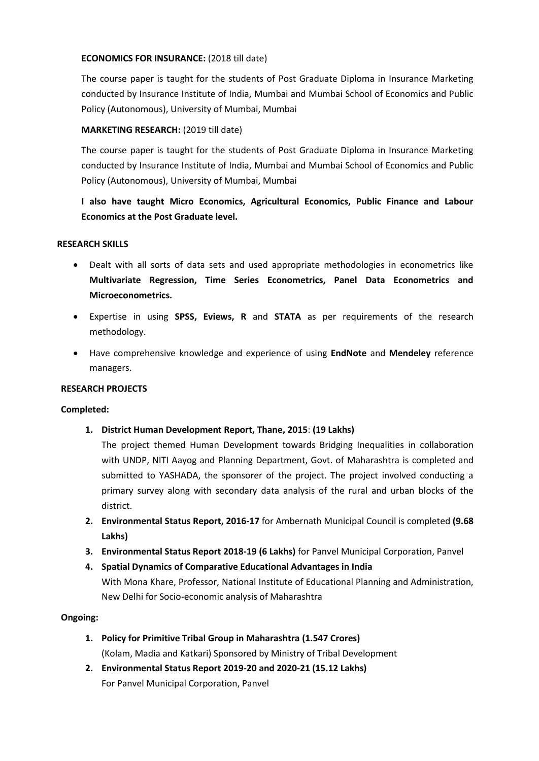# **ECONOMICS FOR INSURANCE:** (2018 till date)

The course paper is taught for the students of Post Graduate Diploma in Insurance Marketing conducted by Insurance Institute of India, Mumbai and Mumbai School of Economics and Public Policy (Autonomous), University of Mumbai, Mumbai

# **MARKETING RESEARCH:** (2019 till date)

The course paper is taught for the students of Post Graduate Diploma in Insurance Marketing conducted by Insurance Institute of India, Mumbai and Mumbai School of Economics and Public Policy (Autonomous), University of Mumbai, Mumbai

**I also have taught Micro Economics, Agricultural Economics, Public Finance and Labour Economics at the Post Graduate level.**

# **RESEARCH SKILLS**

- Dealt with all sorts of data sets and used appropriate methodologies in econometrics like **Multivariate Regression, Time Series Econometrics, Panel Data Econometrics and Microeconometrics.**
- Expertise in using **SPSS, Eviews, R** and **STATA** as per requirements of the research methodology.
- Have comprehensive knowledge and experience of using **EndNote** and **Mendeley** reference managers.

## **RESEARCH PROJECTS**

## **Completed:**

**1. District Human Development Report, Thane, 2015**: **(19 Lakhs)**

The project themed Human Development towards Bridging Inequalities in collaboration with UNDP, NITI Aayog and Planning Department, Govt. of Maharashtra is completed and submitted to YASHADA, the sponsorer of the project. The project involved conducting a primary survey along with secondary data analysis of the rural and urban blocks of the district.

- **2. Environmental Status Report, 2016-17** for Ambernath Municipal Council is completed **(9.68 Lakhs)**
- **3. Environmental Status Report 2018-19 (6 Lakhs)** for Panvel Municipal Corporation, Panvel
- **4. Spatial Dynamics of Comparative Educational Advantages in India** With Mona Khare, Professor, National Institute of Educational Planning and Administration, New Delhi for Socio-economic analysis of Maharashtra

## **Ongoing:**

- **1. Policy for Primitive Tribal Group in Maharashtra (1.547 Crores)** (Kolam, Madia and Katkari) Sponsored by Ministry of Tribal Development
- **2. Environmental Status Report 2019-20 and 2020-21 (15.12 Lakhs)** For Panvel Municipal Corporation, Panvel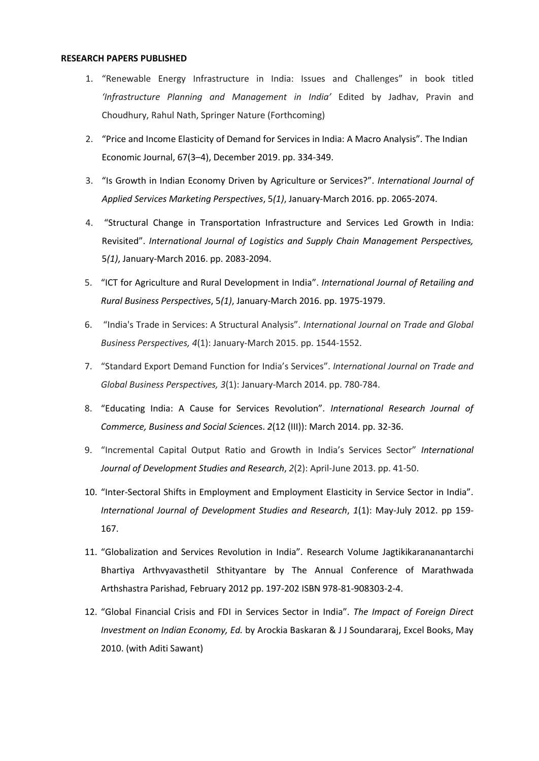#### **RESEARCH PAPERS PUBLISHED**

- 1. "Renewable Energy Infrastructure in India: Issues and Challenges" in book titled *'Infrastructure Planning and Management in India'* Edited by Jadhav, Pravin and Choudhury, Rahul Nath, Springer Nature (Forthcoming)
- 2. "Price and Income Elasticity of Demand for Services in India: A Macro Analysis". The Indian Economic Journal, 67(3–4), December 2019. pp. 334-349.
- 3. "Is Growth in Indian Economy Driven by Agriculture or Services?". *International Journal of Applied Services Marketing Perspectives*, 5*(1)*, January-March 2016. pp. 2065-2074.
- 4. "Structural Change in Transportation Infrastructure and Services Led Growth in India: Revisited". *International Journal of Logistics and Supply Chain Management Perspectives,* 5*(1)*, January-March 2016. pp. 2083-2094.
- 5. "ICT for Agriculture and Rural Development in India". *International Journal of Retailing and Rural Business Perspectives*, 5*(1)*, January-March 2016. pp. 1975-1979.
- 6. "India's Trade in Services: A Structural Analysis". *International Journal on Trade and Global Business Perspectives, 4*(1): January-March 2015. pp. 1544-1552.
- 7. "Standard Export Demand Function for India's Services". *International Journal on Trade and Global Business Perspectives, 3*(1): January-March 2014. pp. 780-784.
- 8. "Educating India: A Cause for Services Revolution". *International Research Journal of Commerce, Business and Social Scien*ces. *2*(12 (III)): March 2014. pp. 32-36.
- 9. "Incremental Capital Output Ratio and Growth in India's Services Sector" *International Journal of Development Studies and Research*, *2*(2): April-June 2013. pp. 41-50.
- 10. "Inter-Sectoral Shifts in Employment and Employment Elasticity in Service Sector in India". *International Journal of Development Studies and Research*, *1*(1): May-July 2012. pp 159- 167.
- 11. "Globalization and Services Revolution in India". Research Volume Jagtikikarananantarchi Bhartiya Arthvyavasthetil Sthityantare by The Annual Conference of Marathwada Arthshastra Parishad, February 2012 pp. 197-202 ISBN 978-81-908303-2-4.
- 12. "Global Financial Crisis and FDI in Services Sector in India". *The Impact of Foreign Direct Investment on Indian Economy, Ed.* by Arockia Baskaran & J J Soundararaj, Excel Books, May 2010. (with Aditi Sawant)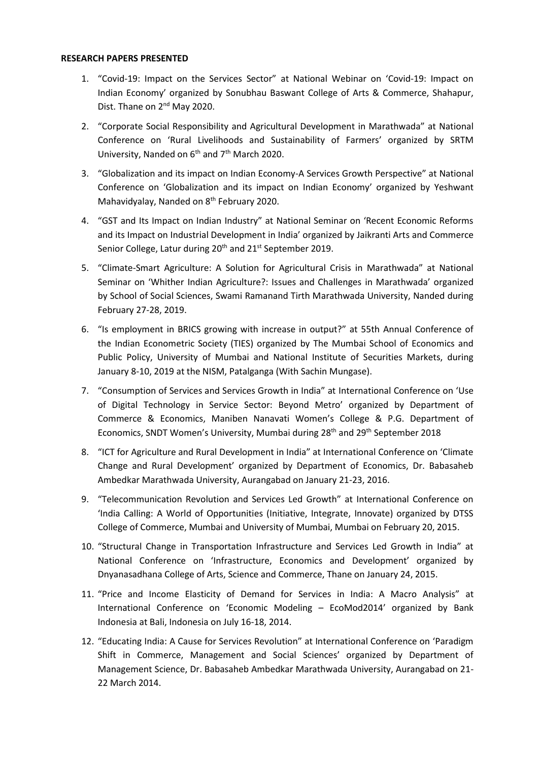#### **RESEARCH PAPERS PRESENTED**

- 1. "Covid-19: Impact on the Services Sector" at National Webinar on 'Covid-19: Impact on Indian Economy' organized by Sonubhau Baswant College of Arts & Commerce, Shahapur, Dist. Thane on 2<sup>nd</sup> May 2020.
- 2. "Corporate Social Responsibility and Agricultural Development in Marathwada" at National Conference on 'Rural Livelihoods and Sustainability of Farmers' organized by SRTM University, Nanded on  $6<sup>th</sup>$  and  $7<sup>th</sup>$  March 2020.
- 3. "Globalization and its impact on Indian Economy-A Services Growth Perspective" at National Conference on 'Globalization and its impact on Indian Economy' organized by Yeshwant Mahavidyalay, Nanded on 8<sup>th</sup> February 2020.
- 4. "GST and Its Impact on Indian Industry" at National Seminar on 'Recent Economic Reforms and its Impact on Industrial Development in India' organized by Jaikranti Arts and Commerce Senior College, Latur during 20<sup>th</sup> and 21<sup>st</sup> September 2019.
- 5. "Climate-Smart Agriculture: A Solution for Agricultural Crisis in Marathwada" at National Seminar on 'Whither Indian Agriculture?: Issues and Challenges in Marathwada' organized by School of Social Sciences, Swami Ramanand Tirth Marathwada University, Nanded during February 27-28, 2019.
- 6. "Is employment in BRICS growing with increase in output?" at 55th Annual Conference of the Indian Econometric Society (TIES) organized by The Mumbai School of Economics and Public Policy, University of Mumbai and National Institute of Securities Markets, during January 8-10, 2019 at the NISM, Patalganga (With Sachin Mungase).
- 7. "Consumption of Services and Services Growth in India" at International Conference on 'Use of Digital Technology in Service Sector: Beyond Metro' organized by Department of Commerce & Economics, Maniben Nanavati Women's College & P.G. Department of Economics, SNDT Women's University, Mumbai during 28<sup>th</sup> and 29<sup>th</sup> September 2018
- 8. "ICT for Agriculture and Rural Development in India" at International Conference on 'Climate Change and Rural Development' organized by Department of Economics, Dr. Babasaheb Ambedkar Marathwada University, Aurangabad on January 21-23, 2016.
- 9. "Telecommunication Revolution and Services Led Growth" at International Conference on 'India Calling: A World of Opportunities (Initiative, Integrate, Innovate) organized by DTSS College of Commerce, Mumbai and University of Mumbai, Mumbai on February 20, 2015.
- 10. "Structural Change in Transportation Infrastructure and Services Led Growth in India" at National Conference on 'Infrastructure, Economics and Development' organized by Dnyanasadhana College of Arts, Science and Commerce, Thane on January 24, 2015.
- 11. "Price and Income Elasticity of Demand for Services in India: A Macro Analysis" at International Conference on 'Economic Modeling – EcoMod2014' organized by Bank Indonesia at Bali, Indonesia on July 16-18, 2014.
- 12. "Educating India: A Cause for Services Revolution" at International Conference on 'Paradigm Shift in Commerce, Management and Social Sciences' organized by Department of Management Science, Dr. Babasaheb Ambedkar Marathwada University, Aurangabad on 21- 22 March 2014.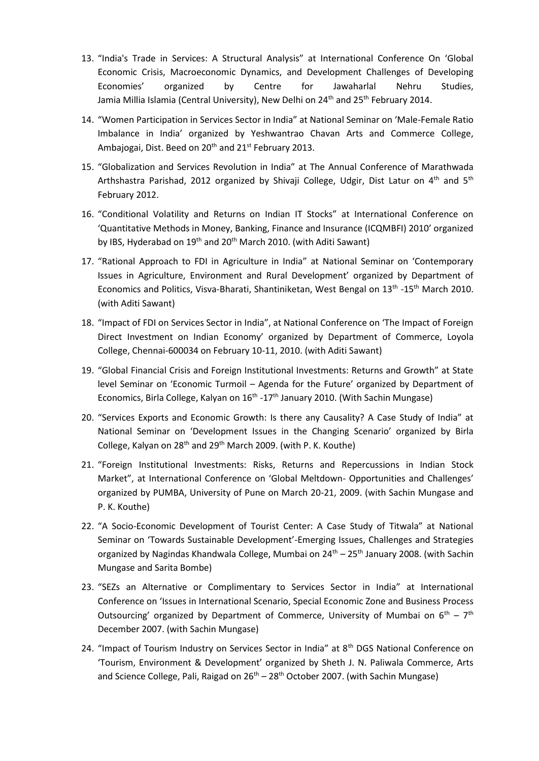- 13. "India's Trade in Services: A Structural Analysis" at International Conference On 'Global Economic Crisis, Macroeconomic Dynamics, and Development Challenges of Developing Economies' organized by Centre for Jawaharlal Nehru Studies, Jamia Millia Islamia (Central University), New Delhi on 24<sup>th</sup> and 25<sup>th</sup> February 2014.
- 14. "Women Participation in Services Sector in India" at National Seminar on 'Male-Female Ratio Imbalance in India' organized by Yeshwantrao Chavan Arts and Commerce College, Ambajogai, Dist. Beed on  $20<sup>th</sup>$  and  $21<sup>st</sup>$  February 2013.
- 15. "Globalization and Services Revolution in India" at The Annual Conference of Marathwada Arthshastra Parishad, 2012 organized by Shivaji College, Udgir, Dist Latur on 4<sup>th</sup> and 5<sup>th</sup> February 2012.
- 16. "Conditional Volatility and Returns on Indian IT Stocks" at International Conference on 'Quantitative Methods in Money, Banking, Finance and Insurance (ICQMBFI) 2010' organized by IBS, Hyderabad on  $19<sup>th</sup>$  and  $20<sup>th</sup>$  March 2010. (with Aditi Sawant)
- 17. "Rational Approach to FDI in Agriculture in India" at National Seminar on 'Contemporary Issues in Agriculture, Environment and Rural Development' organized by Department of Economics and Politics, Visva-Bharati, Shantiniketan, West Bengal on 13<sup>th</sup> -15<sup>th</sup> March 2010. (with Aditi Sawant)
- 18. "Impact of FDI on Services Sector in India", at National Conference on 'The Impact of Foreign Direct Investment on Indian Economy' organized by Department of Commerce, Loyola College, Chennai-600034 on February 10-11, 2010. (with Aditi Sawant)
- 19. "Global Financial Crisis and Foreign Institutional Investments: Returns and Growth" at State level Seminar on 'Economic Turmoil – Agenda for the Future' organized by Department of Economics, Birla College, Kalyan on 16<sup>th</sup> -17<sup>th</sup> January 2010. (With Sachin Mungase)
- 20. "Services Exports and Economic Growth: Is there any Causality? A Case Study of India" at National Seminar on 'Development Issues in the Changing Scenario' organized by Birla College, Kalyan on 28<sup>th</sup> and 29<sup>th</sup> March 2009. (with P. K. Kouthe)
- 21. "Foreign Institutional Investments: Risks, Returns and Repercussions in Indian Stock Market", at International Conference on 'Global Meltdown- Opportunities and Challenges' organized by PUMBA, University of Pune on March 20-21, 2009. (with Sachin Mungase and P. K. Kouthe)
- 22. "A Socio-Economic Development of Tourist Center: A Case Study of Titwala" at National Seminar on 'Towards Sustainable Development'-Emerging Issues, Challenges and Strategies organized by Nagindas Khandwala College, Mumbai on 24<sup>th</sup> – 25<sup>th</sup> January 2008. (with Sachin Mungase and Sarita Bombe)
- 23. "SEZs an Alternative or Complimentary to Services Sector in India" at International Conference on 'Issues in International Scenario, Special Economic Zone and Business Process Outsourcing' organized by Department of Commerce, University of Mumbai on  $6^{th} - 7^{th}$ December 2007. (with Sachin Mungase)
- 24. "Impact of Tourism Industry on Services Sector in India" at 8<sup>th</sup> DGS National Conference on 'Tourism, Environment & Development' organized by Sheth J. N. Paliwala Commerce, Arts and Science College, Pali, Raigad on  $26<sup>th</sup> - 28<sup>th</sup>$  October 2007. (with Sachin Mungase)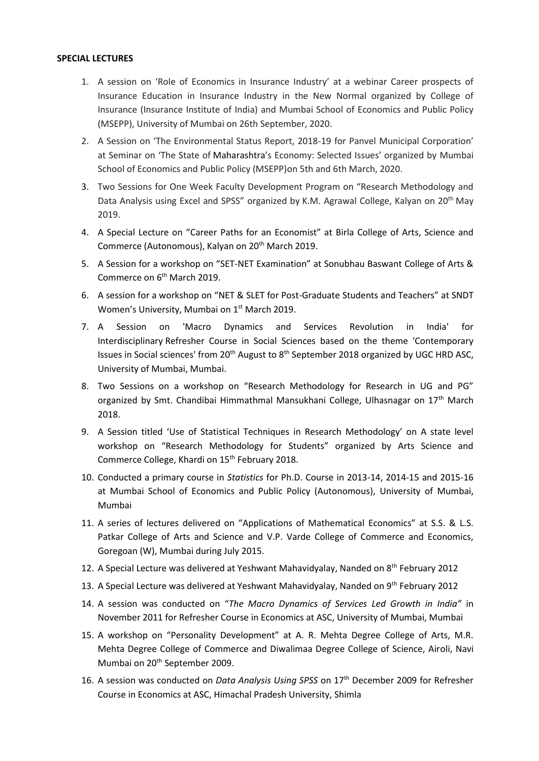### **SPECIAL LECTURES**

- 1. A session on 'Role of Economics in Insurance Industry' at a webinar Career prospects of Insurance Education in Insurance Industry in the New Normal organized by College of Insurance (Insurance Institute of India) and Mumbai School of Economics and Public Policy (MSEPP), University of Mumbai on 26th September, 2020.
- 2. A Session on 'The Environmental Status Report, 2018-19 for Panvel Municipal Corporation' at Seminar on 'The State of Maharashtra's Economy: Selected Issues' organized by Mumbai School of Economics and Public Policy (MSEPP)on 5th and 6th March, 2020.
- 3. Two Sessions for One Week Faculty Development Program on "Research Methodology and Data Analysis using Excel and SPSS" organized by K.M. Agrawal College, Kalyan on 20<sup>th</sup> May 2019.
- 4. A Special Lecture on "Career Paths for an Economist" at Birla College of Arts, Science and Commerce (Autonomous), Kalyan on 20<sup>th</sup> March 2019.
- 5. A Session for a workshop on "SET-NET Examination" at Sonubhau Baswant College of Arts & Commerce on 6<sup>th</sup> March 2019.
- 6. A session for a workshop on "NET & SLET for Post-Graduate Students and Teachers" at SNDT Women's University, Mumbai on 1<sup>st</sup> March 2019.
- 7. A Session on 'Macro Dynamics and Services Revolution in India' for Interdisciplinary Refresher Course in Social Sciences based on the theme 'Contemporary Issues in Social sciences' from 20<sup>th</sup> August to 8<sup>th</sup> September 2018 organized by UGC HRD ASC, University of Mumbai, Mumbai.
- 8. Two Sessions on a workshop on "Research Methodology for Research in UG and PG" organized by Smt. Chandibai Himmathmal Mansukhani College, Ulhasnagar on 17th March 2018.
- 9. A Session titled 'Use of Statistical Techniques in Research Methodology' on A state level workshop on "Research Methodology for Students" organized by Arts Science and Commerce College, Khardi on 15<sup>th</sup> February 2018.
- 10. Conducted a primary course in *Statistics* for Ph.D. Course in 2013-14, 2014-15 and 2015-16 at Mumbai School of Economics and Public Policy (Autonomous), University of Mumbai, Mumbai
- 11. A series of lectures delivered on "Applications of Mathematical Economics" at S.S. & L.S. Patkar College of Arts and Science and V.P. Varde College of Commerce and Economics, Goregoan (W), Mumbai during July 2015.
- 12. A Special Lecture was delivered at Yeshwant Mahavidyalay, Nanded on 8<sup>th</sup> February 2012
- 13. A Special Lecture was delivered at Yeshwant Mahavidyalay, Nanded on 9<sup>th</sup> February 2012
- 14. A session was conducted on "*The Macro Dynamics of Services Led Growth in India"* in November 2011 for Refresher Course in Economics at ASC, University of Mumbai, Mumbai
- 15. A workshop on "Personality Development" at A. R. Mehta Degree College of Arts, M.R. Mehta Degree College of Commerce and Diwalimaa Degree College of Science, Airoli, Navi Mumbai on 20<sup>th</sup> September 2009.
- 16. A session was conducted on *Data Analysis Using SPSS* on 17th December 2009 for Refresher Course in Economics at ASC, Himachal Pradesh University, Shimla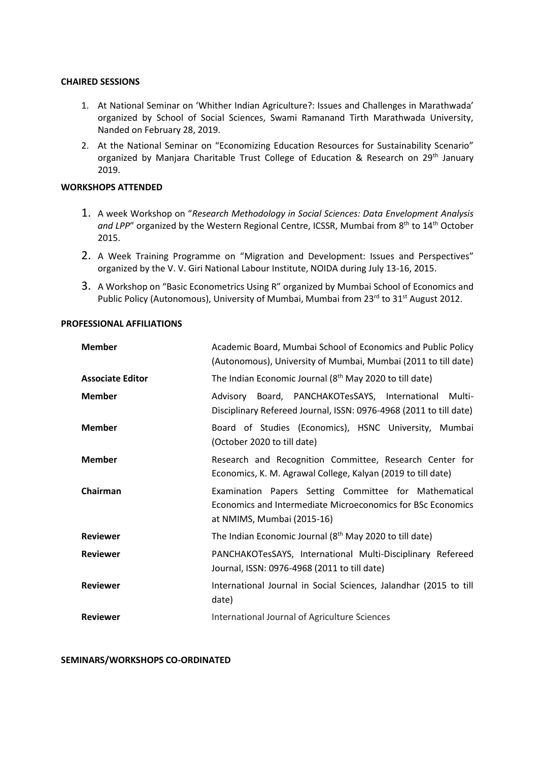### **CHAIRED SESSIONS**

- 1. At National Seminar on 'Whither Indian Agriculture?: Issues and Challenges in Marathwada' organized by School of Social Sciences, Swami Ramanand Tirth Marathwada University, Nanded on February 28, 2019.
- 2. At the National Seminar on "Economizing Education Resources for Sustainability Scenario" organized by Manjara Charitable Trust College of Education & Research on 29<sup>th</sup> January 2019.

# **WORKSHOPS ATTENDED**

- 1. A week Workshop on "*Research Methodology in Social Sciences: Data Envelopment Analysis*  and LPP" organized by the Western Regional Centre, ICSSR, Mumbai from 8<sup>th</sup> to 14<sup>th</sup> October 2015.
- 2. A Week Training Programme on "Migration and Development: Issues and Perspectives" organized by the V. V. Giri National Labour Institute, NOIDA during July 13-16, 2015.
- 3. A Workshop on "Basic Econometrics Using R" organized by Mumbai School of Economics and Public Policy (Autonomous), University of Mumbai, Mumbai from 23<sup>rd</sup> to 31<sup>st</sup> August 2012.

### **PROFESSIONAL AFFILIATIONS**

| <b>Member</b>           | Academic Board, Mumbai School of Economics and Public Policy<br>(Autonomous), University of Mumbai, Mumbai (2011 to till date)                     |
|-------------------------|----------------------------------------------------------------------------------------------------------------------------------------------------|
| <b>Associate Editor</b> | The Indian Economic Journal (8 <sup>th</sup> May 2020 to till date)                                                                                |
| <b>Member</b>           | Advisory Board, PANCHAKOTesSAYS, International<br>Multi-<br>Disciplinary Refereed Journal, ISSN: 0976-4968 (2011 to till date)                     |
| <b>Member</b>           | Board of Studies (Economics), HSNC University, Mumbai<br>(October 2020 to till date)                                                               |
| <b>Member</b>           | Research and Recognition Committee, Research Center for<br>Economics, K. M. Agrawal College, Kalyan (2019 to till date)                            |
| Chairman                | Examination Papers Setting Committee for Mathematical<br>Economics and Intermediate Microeconomics for BSc Economics<br>at NMIMS, Mumbai (2015-16) |
| <b>Reviewer</b>         | The Indian Economic Journal (8 <sup>th</sup> May 2020 to till date)                                                                                |
| <b>Reviewer</b>         | PANCHAKOTesSAYS, International Multi-Disciplinary Refereed<br>Journal, ISSN: 0976-4968 (2011 to till date)                                         |
| <b>Reviewer</b>         | International Journal in Social Sciences, Jalandhar (2015 to till<br>date)                                                                         |
| <b>Reviewer</b>         | International Journal of Agriculture Sciences                                                                                                      |

**SEMINARS/WORKSHOPS CO-ORDINATED**